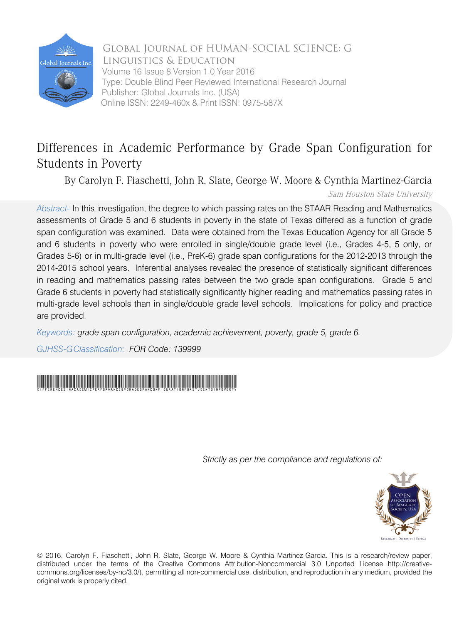

Global Journal of HUMAN-SOCIAL SCIENCE: G Linguistics & Education Volume 16 Issue 8 Version 1.0 Year 2016 Type: Double Blind Peer Reviewed International Research Journal Publisher: Global Journals Inc. (USA) Online ISSN: 2249-460x & Print ISSN: 0975-587X

# Differences in Academic Performance by Grade Span Configuration for Students in Poverty

By Carolyn F. Fiaschetti, John R. Slate, George W. Moore & Cynthia Martinez-Garcia

Sam Houston State University

*Abstract-* In this investigation, the degree to which passing rates on the STAAR Reading and Mathematics assessments of Grade 5 and 6 students in poverty in the state of Texas differed as a function of grade span configuration was examined. Data were obtained from the Texas Education Agency for all Grade 5 and 6 students in poverty who were enrolled in single/double grade level (i.e., Grades 4-5, 5 only, or Grades 5-6) or in multi-grade level (i.e., PreK-6) grade span configurations for the 2012-2013 through the 2014-2015 school years. Inferential analyses revealed the presence of statistically significant differences in reading and mathematics passing rates between the two grade span configurations. Grade 5 and Grade 6 students in poverty had statistically significantly higher reading and mathematics passing rates in multi-grade level schools than in single/double grade level schools. Implications for policy and practice are provided.

*Keywords: grade span configuration, academic achievement, poverty, grade 5, grade 6.*

*GJHSS-GClassification: FOR Code: 139999*



*Strictly as per the compliance and regulations of:*



© 2016. Carolyn F. Fiaschetti, John R. Slate, George W. Moore & Cynthia Martinez-Garcia. This is a research/review paper, distributed under the terms of the Creative Commons Attribution-Noncommercial 3.0 Unported License http://creativecommons.org/licenses/by-nc/3.0/), permitting all non-commercial use, distribution, and reproduction in any medium, provided the original work is properly cited.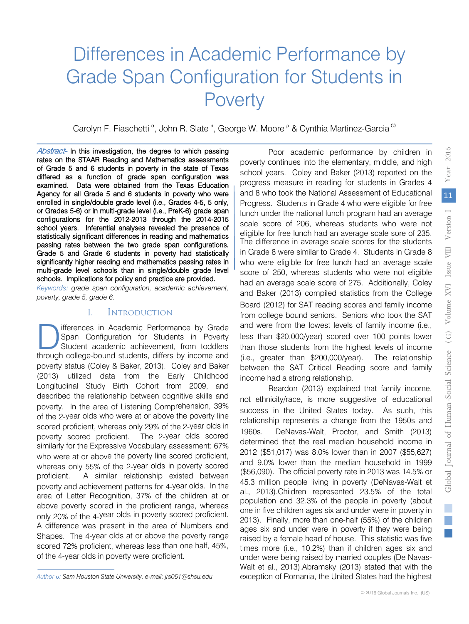# Differences in Academic Performance by Grade Span Configuration for Students in **Poverty**

Carolyn F. Fiaschetti <sup>α</sup>, John R. Slate <sup>σ</sup>, George W. Moore <sup>ρ</sup> & Cynthia Martinez-Garcia <sup>ω</sup>

 of Grade 5 and 6 students in poverty in the state of Texas school years. Inferential analyses revealed the presence of Abstract- In this investigation, the degree to which passing rates on the STAAR Reading and Mathematics assessments differed as a function of grade span configuration was examined. Data were obtained from the Texas Education Agency for all Grade 5 and 6 students in poverty who were enrolled in single/double grade level (i.e., Grades 4-5, 5 only, or Grades 5-6) or in multi-grade level (i.e., PreK-6) grade span configurations for the 2012-2013 through the 2014-2015 statistically significant differences in reading and mathematics passing rates between the two grade span configurations. Grade 5 and Grade 6 students in poverty had statistically significantly higher reading and mathematics passing rates in multi-grade level schools than in single/double grade level schools. Implications for policy and practice are provided.

*Keywords: grade span configuration, academic achievement, poverty, grade 5, grade 6.*

#### I. Introduction

 ifferences in Academic Performance by Grade Span Configuration for Students in Poverty Student academic achievement, from toddlers **Therences in Academic Performance by Grade Span Configuration for Students in Poverty Student academic achievement, from toddlers through college-bound students, differs by income and** poverty status (Coley & Baker, 2013). Coley and Baker (2013) utilized data from the Early Childhood Longitudinal Study Birth Cohort from 2009, and described the relationship between cognitive skills and poverty. In the area of Listening Comprehension, 39% of the 2-year olds who were at or above the poverty line scored proficient, whereas only 29% of the 2-year olds in poverty scored proficient. The 2-year olds scored similarly for the Expressive Vocabulary assessment: 67% who were at or above the poverty line scored proficient, whereas only 55% of the 2-year olds in poverty scored proficient. A similar relationship existed between poverty and achievement patterns for 4-year olds. In the area of Letter Recognition, 37% of the children at or above poverty scored in the proficient range, whereas only 20% of the 4-year olds in poverty scored proficient. A difference was present in the area of Numbers and Shapes. The 4-year olds at or above the poverty range scored 72% proficient, whereas less than one half, 45%, of the 4-year olds in poverty were proficient.

Reardon (2013) explained that family income, not ethnicity/race, is more suggestive of educational success in the United States today. As such, this relationship represents a change from the 1950s and 1960s. DeNavas-Walt, Proctor, and Smith (2013) determined that the real median household income in 2012 (\$51,017) was 8.0% lower than in 2007 (\$55,627) and 9.0% lower than the median household in 1999 (\$56,090). The official poverty rate in 2013 was 14.5% or 45.3 million people living in poverty (DeNavas-Walt et al., 2013).Children represented 23.5% of the total population and 32.3% of the people in poverty (about one in five children ages six and under were in poverty in 2013). Finally, more than one-half (55%) of the children ages six and under were in poverty if they were being raised by a female head of house. This statistic was five times more (i.e., 10.2%) than if children ages six and under were being raised by married couples (De Navas-Walt et al., 2013).Abramsky (2013) stated that with the exception of Romania, the United States had the highest

Poor academic performance by children in poverty continues into the elementary, middle, and high school years. Coley and Baker (2013) reported on the progress measure in reading for students in Grades 4 and 8 who took the National Assessment of Educational Progress. Students in Grade 4 who were eligible for free lunch under the national lunch program had an average scale score of 206, whereas students who were not eligible for free lunch had an average scale sore of 235. The difference in average scale scores for the students in Grade 8 were similar to Grade 4. Students in Grade 8 who were eligible for free lunch had an average scale score of 250, whereas students who were not eligible had an average scale score of 275. Additionally, Coley and Baker (2013) compiled statistics from the College Board (2012) for SAT reading scores and family income from college bound seniors. Seniors who took the SAT and were from the lowest levels of family income (i.e., less than \$20,000/year) scored over 100 points lower than those students from the highest levels of income (i.e., greater than \$200,000/year). The relationship between the SAT Critical Reading score and family income had a strong relationship.

*Author* σ*: Sam Houston State University. e-mail: jrs051@shsu.edu*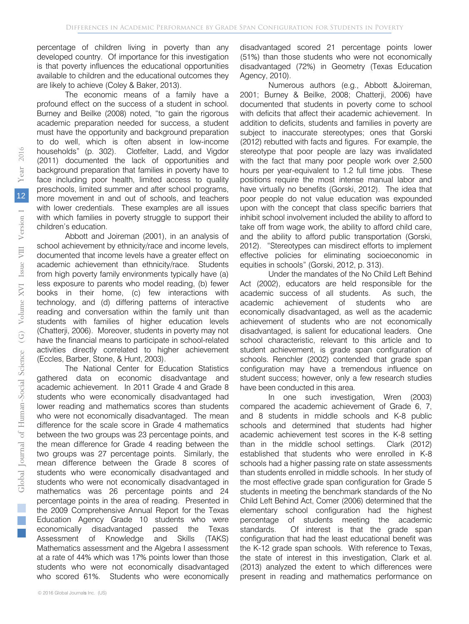percentage of children living in poverty than any developed country. Of importance for this investigation is that poverty influences the educational opportunities available to children and the educational outcomes they are likely to achieve (Coley & Baker, 2013).

The economic means of a family have a profound effect on the success of a student in school. Burney and Beilke (2008) noted, "to gain the rigorous academic preparation needed for success, a student must have the opportunity and background preparation to do well, which is often absent in low-income households" (p. 302). Clotfelter, Ladd, and Vigdor (2011) documented the lack of opportunities and background preparation that families in poverty have to face including poor health, limited access to quality preschools, limited summer and after school programs, more movement in and out of schools, and teachers with lower credentials. These examples are all issues with which families in poverty struggle to support their children's education.

Abbott and Joireman (2001), in an analysis of school achievement by ethnicity/race and income levels, documented that income levels have a greater effect on academic achievement than ethnicity/race. Students from high poverty family environments typically have (a) less exposure to parents who model reading, (b) fewer books in their home, (c) few interactions with technology, and (d) differing patterns of interactive reading and conversation within the family unit than students with families of higher education levels (Chatterji, 2006). Moreover, students in poverty may not have the financial means to participate in school-related activities directly correlated to higher achievement (Eccles, Barber, Stone, & Hunt, 2003).

The National Center for Education Statistics gathered data on economic disadvantage and academic achievement. In 2011 Grade 4 and Grade 8 students who were economically disadvantaged had lower reading and mathematics scores than students who were not economically disadvantaged. The mean difference for the scale score in Grade 4 mathematics between the two groups was 23 percentage points, and the mean difference for Grade 4 reading between the two groups was 27 percentage points. Similarly, the mean difference between the Grade 8 scores of students who were economically disadvantaged and students who were not economically disadvantaged in mathematics was 26 percentage points and 24 percentage points in the area of reading. Presented in the 2009 Comprehensive Annual Report for the Texas Education Agency Grade 10 students who were economically disadvantaged passed the Texas Assessment of Knowledge and Skills (TAKS) Mathematics assessment and the Algebra I assessment at a rate of 44% which was 17% points lower than those students who were not economically disadvantaged who scored 61%. Students who were economically

disadvantaged scored 21 percentage points lower (51%) than those students who were not economically disadvantaged (72%) in Geometry (Texas Education Agency, 2010).

Numerous authors (e.g., Abbott &Joireman, 2001; Burney & Beilke, 2008; Chatterji, 2006) have documented that students in poverty come to school with deficits that affect their academic achievement. In addition to deficits, students and families in poverty are subject to inaccurate stereotypes; ones that Gorski (2012) rebutted with facts and figures. For example, the stereotype that poor people are lazy was invalidated with the fact that many poor people work over 2,500 hours per year-equivalent to 1.2 full time jobs. These positions require the most intense manual labor and have virtually no benefits (Gorski, 2012). The idea that poor people do not value education was expounded upon with the concept that class specific barriers that inhibit school involvement included the ability to afford to take off from wage work, the ability to afford child care, and the ability to afford public transportation (Gorski, 2012). "Stereotypes can misdirect efforts to implement effective policies for eliminating socioeconomic in equities in schools" (Gorski, 2012, p. 313).

Under the mandates of the No Child Left Behind Act (2002), educators are held responsible for the academic success of all students. As such, the academic achievement of students who are economically disadvantaged, as well as the academic achievement of students who are not economically disadvantaged, is salient for educational leaders. One school characteristic, relevant to this article and to student achievement, is grade span configuration of schools. Renchler (2002) contended that grade span configuration may have a tremendous influence on student success; however, only a few research studies have been conducted in this area.

In one such investigation, Wren (2003) compared the academic achievement of Grade 6, 7, and 8 students in middle schools and K-8 public schools and determined that students had higher academic achievement test scores in the K-8 setting than in the middle school settings. Clark (2012) established that students who were enrolled in K-8 schools had a higher passing rate on state assessments than students enrolled in middle schools. In her study of the most effective grade span configuration for Grade 5 students in meeting the benchmark standards of the No Child Left Behind Act, Comer (2006) determined that the elementary school configuration had the highest percentage of students meeting the academic standards. Of interest is that the grade span configuration that had the least educational benefit was the K-12 grade span schools. With reference to Texas, the state of interest in this investigation, Clark et al. (2013) analyzed the extent to which differences were present in reading and mathematics performance on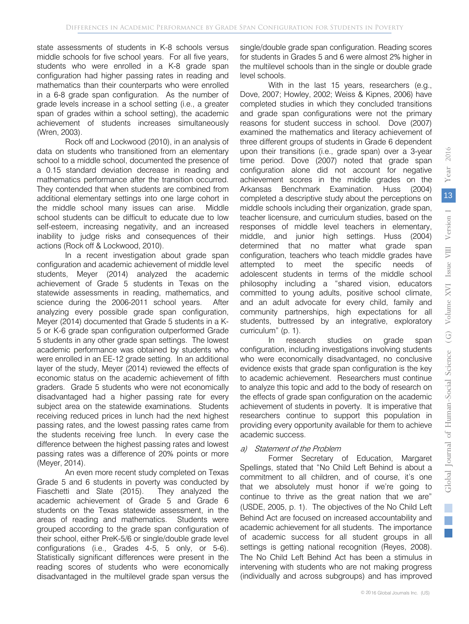state assessments of students in K-8 schools versus middle schools for five school years. For all five years, students who were enrolled in a K-8 grade span configuration had higher passing rates in reading and mathematics than their counterparts who were enrolled in a 6-8 grade span configuration. As the number of grade levels increase in a school setting (i.e., a greater span of grades within a school setting), the academic achievement of students increases simultaneously (Wren, 2003).

Rock off and Lockwood (2010), in an analysis of data on students who transitioned from an elementary school to a middle school, documented the presence of a 0.15 standard deviation decrease in reading and mathematics performance after the transition occurred. They contended that when students are combined from additional elementary settings into one large cohort in the middle school many issues can arise. Middle school students can be difficult to educate due to low self-esteem, increasing negativity, and an increased inability to judge risks and consequences of their actions (Rock off & Lockwood, 2010).

In a recent investigation about grade span configuration and academic achievement of middle level students, Meyer (2014) analyzed the academic achievement of Grade 5 students in Texas on the statewide assessments in reading, mathematics, and science during the 2006-2011 school years. After analyzing every possible grade span configuration, Meyer (2014) documented that Grade 5 students in a K-5 or K-6 grade span configuration outperformed Grade 5 students in any other grade span settings. The lowest academic performance was obtained by students who were enrolled in an EE-12 grade setting. In an additional layer of the study, Meyer (2014) reviewed the effects of economic status on the academic achievement of fifth graders. Grade 5 students who were not economically disadvantaged had a higher passing rate for every subject area on the statewide examinations. Students receiving reduced prices in lunch had the next highest passing rates, and the lowest passing rates came from the students receiving free lunch. In every case the difference between the highest passing rates and lowest passing rates was a difference of 20% points or more (Meyer, 2014).

An even more recent study completed on Texas Grade 5 and 6 students in poverty was conducted by Fiaschetti and Slate (2015). They analyzed the academic achievement of Grade 5 and Grade 6 students on the Texas statewide assessment, in the areas of reading and mathematics. Students were grouped according to the grade span configuration of their school, either PreK-5/6 or single/double grade level configurations (i.e., Grades 4-5, 5 only, or 5-6). Statistically significant differences were present in the reading scores of students who were economically disadvantaged in the multilevel grade span versus the

single/double grade span configuration. Reading scores for students in Grades 5 and 6 were almost 2% higher in the multilevel schools than in the single or double grade level schools.

With in the last 15 years, researchers (e.g., Dove, 2007; Howley, 2002; Weiss & Kipnes, 2006) have completed studies in which they concluded transitions and grade span configurations were not the primary reasons for student success in school. Dove (2007) examined the mathematics and literacy achievement of three different groups of students in Grade 6 dependent upon their transitions (i.e., grade span) over a 3-year time period. Dove (2007) noted that grade span configuration alone did not account for negative achievement scores in the middle grades on the Arkansas Benchmark Examination. Huss (2004) completed a descriptive study about the perceptions on middle schools including their organization, grade span, teacher licensure, and curriculum studies, based on the responses of middle level teachers in elementary, middle, and junior high settings. Huss (2004) determined that no matter what grade span configuration, teachers who teach middle grades have attempted to meet the specific needs of adolescent students in terms of the middle school philosophy including a "shared vision, educators committed to young adults, positive school climate, and an adult advocate for every child, family and community partnerships, high expectations for all students, buttressed by an integrative, exploratory curriculum" (p. 1).

In research studies on grade span configuration, including investigations involving students who were economically disadvantaged, no conclusive evidence exists that grade span configuration is the key to academic achievement. Researchers must continue to analyze this topic and add to the body of research on the effects of grade span configuration on the academic achievement of students in poverty. It is imperative that researchers continue to support this population in providing every opportunity available for them to achieve academic success.

#### a) Statement of the Problem

Former Secretary of Education, Margaret Spellings, stated that "No Child Left Behind is about a commitment to all children, and of course, it's one that we absolutely must honor if we're going to continue to thrive as the great nation that we are" (USDE, 2005, p. 1). The objectives of the No Child Left Behind Act are focused on increased accountability and academic achievement for all students. The importance of academic success for all student groups in all settings is getting national recognition (Reyes, 2008). The No Child Left Behind Act has been a stimulus in intervening with students who are not making progress (individually and across subgroups) and has improved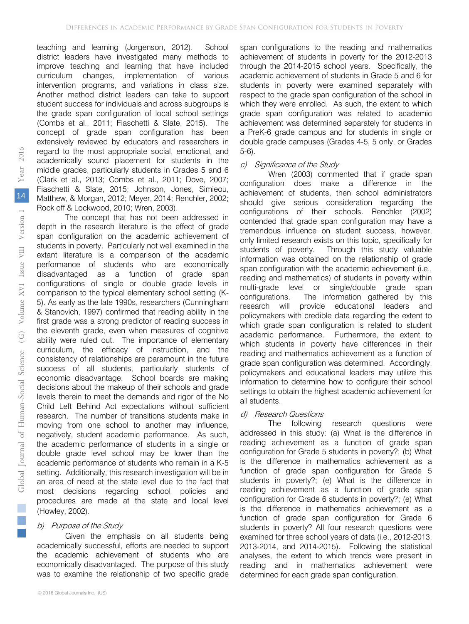teaching and learning (Jorgenson, 2012). School district leaders have investigated many methods to improve teaching and learning that have included curriculum changes, implementation of various intervention programs, and variations in class size. Another method district leaders can take to support student success for individuals and across subgroups is the grade span configuration of local school settings (Combs et al., 2011; Fiaschetti & Slate, 2015). The concept of grade span configuration has been extensively reviewed by educators and researchers in regard to the most appropriate social, emotional, and academically sound placement for students in the middle grades, particularly students in Grades 5 and 6 (Clark et al., 2013; Combs et al., 2011; Dove, 2007; Fiaschetti & Slate, 2015; Johnson, Jones, Simieou, Matthew, & Morgan, 2012; Meyer, 2014; Renchler, 2002; Rock off & Lockwood, 2010; Wren, 2003).

The concept that has not been addressed in depth in the research literature is the effect of grade span configuration on the academic achievement of students in poverty. Particularly not well examined in the extant literature is a comparison of the academic performance of students who are economically disadvantaged as a function of grade span configurations of single or double grade levels in comparison to the typical elementary school setting (K-5). As early as the late 1990s, researchers (Cunningham & Stanovich, 1997) confirmed that reading ability in the first grade was a strong predictor of reading success in the eleventh grade, even when measures of cognitive ability were ruled out. The importance of elementary curriculum, the efficacy of instruction, and the consistency of relationships are paramount in the future success of all students, particularly students of economic disadvantage. School boards are making decisions about the makeup of their schools and grade levels therein to meet the demands and rigor of the No Child Left Behind Act expectations without sufficient research. The number of transitions students make in moving from one school to another may influence, negatively, student academic performance. As such, the academic performance of students in a single or double grade level school may be lower than the academic performance of students who remain in a K-5 setting. Additionally, this research investigation will be in an area of need at the state level due to the fact that most decisions regarding school policies and procedures are made at the state and local level (Howley, 2002).

#### b) Purpose of the Study

Given the emphasis on all students being academically successful, efforts are needed to support the academic achievement of students who are economically disadvantaged. The purpose of this study was to examine the relationship of two specific grade

span configurations to the reading and mathematics achievement of students in poverty for the 2012-2013 through the 2014-2015 school years. Specifically, the academic achievement of students in Grade 5 and 6 for students in poverty were examined separately with respect to the grade span configuration of the school in which they were enrolled. As such, the extent to which grade span configuration was related to academic achievement was determined separately for students in a PreK-6 grade campus and for students in single or double grade campuses (Grades 4-5, 5 only, or Grades 5-6).

#### c) Significance of the Study

Wren (2003) commented that if grade span configuration does make a difference in the achievement of students, then school administrators should give serious consideration regarding the configurations of their schools. Renchler (2002) contended that grade span configuration may have a tremendous influence on student success, however, only limited research exists on this topic, specifically for students of poverty. Through this study valuable information was obtained on the relationship of grade span configuration with the academic achievement (i.e., reading and mathematics) of students in poverty within multi-grade level or single/double grade span configurations. The information gathered by this research will provide educational leaders and policymakers with credible data regarding the extent to which grade span configuration is related to student academic performance. Furthermore, the extent to which students in poverty have differences in their reading and mathematics achievement as a function of grade span configuration was determined. Accordingly, policymakers and educational leaders may utilize this information to determine how to configure their school settings to obtain the highest academic achievement for all students.

#### d) Research Questions

The following research questions were addressed in this study: (a) What is the difference in reading achievement as a function of grade span configuration for Grade 5 students in poverty?; (b) What is the difference in mathematics achievement as a function of grade span configuration for Grade 5 students in poverty?; (e) What is the difference in reading achievement as a function of grade span configuration for Grade 6 students in poverty?; (e) What is the difference in mathematics achievement as a function of grade span configuration for Grade 6 students in poverty? All four research questions were examined for three school years of data (i.e., 2012-2013, 2013-2014, and 2014-2015). Following the statistical analyses, the extent to which trends were present in reading and in mathematics achievement were determined for each grade span configuration.

 $\mathbb{R}^n$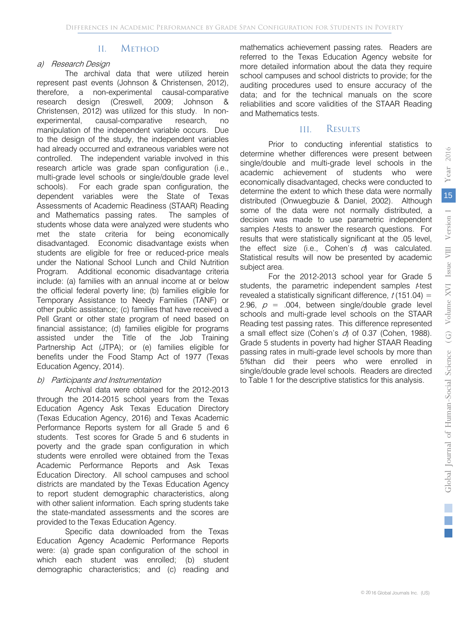#### II. Method

#### a) Research Design

The archival data that were utilized herein represent past events (Johnson & Christensen, 2012), therefore, a non-experimental causal-comparative research design (Creswell, 2009; Johnson & Christensen, 2012) was utilized for this study. In nonexperimental, causal-comparative research, no manipulation of the independent variable occurs. Due to the design of the study, the independent variables had already occurred and extraneous variables were not controlled. The independent variable involved in this research article was grade span configuration (i.e., multi-grade level schools or single/double grade level schools). For each grade span configuration, the dependent variables were the State of Texas Assessments of Academic Readiness (STAAR) Reading and Mathematics passing rates. The samples of students whose data were analyzed were students who met the state criteria for being economically disadvantaged. Economic disadvantage exists when students are eligible for free or reduced-price meals under the National School Lunch and Child Nutrition Program. Additional economic disadvantage criteria include: (a) families with an annual income at or below the official federal poverty line; (b) families eligible for Temporary Assistance to Needy Families (TANF) or other public assistance; (c) families that have received a Pell Grant or other state program of need based on financial assistance; (d) families eligible for programs assisted under the Title of the Job Training Partnership Act (JTPA); or (e) families eligible for benefits under the Food Stamp Act of 1977 (Texas Education Agency, 2014).

#### b) Participants and Instrumentation

Archival data were obtained for the 2012-2013 through the 2014-2015 school years from the Texas Education Agency Ask Texas Education Directory (Texas Education Agency, 2016) and Texas Academic Performance Reports system for all Grade 5 and 6 students. Test scores for Grade 5 and 6 students in poverty and the grade span configuration in which students were enrolled were obtained from the Texas Academic Performance Reports and Ask Texas Education Directory. All school campuses and school districts are mandated by the Texas Education Agency to report student demographic characteristics, along with other salient information. Each spring students take the state-mandated assessments and the scores are provided to the Texas Education Agency.

Specific data downloaded from the Texas Education Agency Academic Performance Reports were: (a) grade span configuration of the school in which each student was enrolled; (b) student demographic characteristics; and (c) reading and

mathematics achievement passing rates. Readers are referred to the Texas Education Agency website for more detailed information about the data they require school campuses and school districts to provide; for the auditing procedures used to ensure accuracy of the data; and for the technical manuals on the score reliabilities and score validities of the STAAR Reading and Mathematics tests.

## III. Results

Prior to conducting inferential statistics to determine whether differences were present between single/double and multi-grade level schools in the academic achievement of students who were economically disadvantaged, checks were conducted to determine the extent to which these data were normally distributed (Onwuegbuzie & Daniel, 2002). Although some of the data were not normally distributed, a decision was made to use parametric independent samples *t*-tests to answer the research questions. For results that were statistically significant at the .05 level, the effect size (i.e., Cohen's  $d$ ) was calculated. Statistical results will now be presented by academic subject area.

For the 2012-2013 school year for Grade 5 students, the parametric independent samples *t*-test revealed a statistically significant difference,  $t(151.04) =$ 2.96,  $p = 0.004$ , between single/double grade level schools and multi-grade level schools on the STAAR Reading test passing rates. This difference represented a small effect size (Cohen's  $d$ ) of 0.37 (Cohen, 1988). Grade 5 students in poverty had higher STAAR Reading passing rates in multi-grade level schools by more than 5%than did their peers who were enrolled in single/double grade level schools. Readers are directed to Table 1 for the descriptive statistics for this analysis.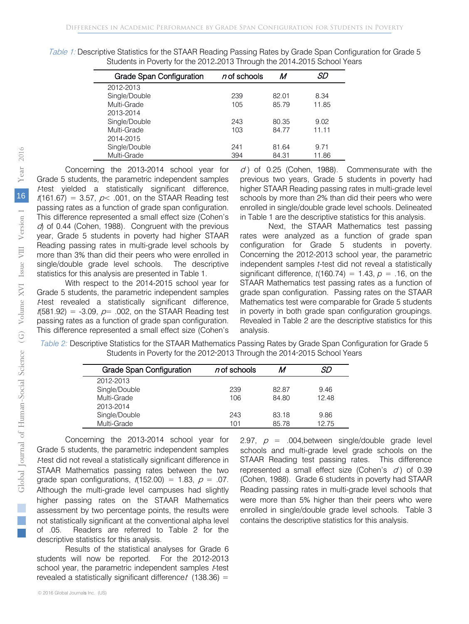| <b>Grade Span Configuration</b> | $n$ of schools | M     | SD    |
|---------------------------------|----------------|-------|-------|
| 2012-2013                       |                |       |       |
| Single/Double                   | 239            | 82.01 | 8.34  |
| Multi-Grade                     | 105            | 85.79 | 11.85 |
| 2013-2014                       |                |       |       |
| Single/Double                   | 243            | 80.35 | 9.02  |
| Multi-Grade                     | 103            | 84.77 | 11.11 |
| 2014-2015                       |                |       |       |
| Single/Double                   | 241            | 81.64 | 9.71  |
| Multi-Grade                     | 394            | 84.31 | 11.86 |
|                                 |                |       |       |

Table 1: Descriptive Statistics for the STAAR Reading Passing Rates by Grade Span Configuration for Grade 5 Students in Poverty for the 2012-2013 Through the 2014-2015 School Years

Concerning the 2013-2014 school year for Grade 5 students, the parametric independent samples <sup>t</sup>-test yielded a statistically significant difference,  $t(161.67) = 3.57$ ,  $p<.001$ , on the STAAR Reading test passing rates as a function of grade span configuration. This difference represented a small effect size (Cohen's  $d$  of 0.44 (Cohen, 1988). Congruent with the previous year, Grade 5 students in poverty had higher STAAR Reading passing rates in multi-grade level schools by more than 3% than did their peers who were enrolled in single/double grade level schools. The descriptive statistics for this analysis are presented in Table 1.

With respect to the 2014-2015 school year for Grade 5 students, the parametric independent samples <sup>t</sup>-test revealed a statistically significant difference,  $t(581.92) = -3.09$ ,  $p= .002$ , on the STAAR Reading test passing rates as a function of grade span configuration. This difference represented a small effect size (Cohen's

 $d$ ) of 0.25 (Cohen, 1988). Commensurate with the previous two years, Grade 5 students in poverty had higher STAAR Reading passing rates in multi-grade level schools by more than 2% than did their peers who were enrolled in single/double grade level schools. Delineated in Table 1 are the descriptive statistics for this analysis.

Next, the STAAR Mathematics test passing rates were analyzed as a function of grade span configuration for Grade 5 students in poverty. Concerning the 2012-2013 school year, the parametric independent samples *t*-test did not reveal a statistically significant difference,  $t(160.74) = 1.43$ ,  $p = .16$ , on the STAAR Mathematics test passing rates as a function of grade span configuration. Passing rates on the STAAR Mathematics test were comparable for Grade 5 students in poverty in both grade span configuration groupings. Revealed in Table 2 are the descriptive statistics for this analysis.

*Table 2:* Descriptive Statistics for the STAAR Mathematics Passing Rates by Grade Span Configuration for Grade 5 Students in Poverty for the 2012-2013 Through the 2014-2015 School Years

| <b>Grade Span Configuration</b> | $n$ of schools |       | SD    |
|---------------------------------|----------------|-------|-------|
| 2012-2013                       |                |       |       |
| Single/Double                   | 239            | 82.87 | 9.46  |
| Multi-Grade                     | 106            | 84.80 | 12.48 |
| 2013-2014                       |                |       |       |
| Single/Double                   | 243            | 83.18 | 9.86  |
| Multi-Grade                     | 101            | 85.78 | 12.75 |

Concerning the 2013-2014 school year for Grade 5 students, the parametric independent samples <sup>t</sup>-test did not reveal a statistically significant difference in STAAR Mathematics passing rates between the two grade span configurations,  $t(152.00) = 1.83$ ,  $p = .07$ . Although the multi-grade level campuses had slightly higher passing rates on the STAAR Mathematics assessment by two percentage points, the results were not statistically significant at the conventional alpha level of .05. Readers are referred to Table 2 for the descriptive statistics for this analysis.

Results of the statistical analyses for Grade 6 students will now be reported. For the 2012-2013 school year, the parametric independent samples *t*-test revealed a statistically significant difference  $t$  (138.36) =

2.97,  $p = 0.004$ , between single/double grade level schools and multi-grade level grade schools on the STAAR Reading test passing rates. This difference represented a small effect size (Cohen's  $d$ ) of 0.39 (Cohen, 1988). Grade 6 students in poverty had STAAR Reading passing rates in multi-grade level schools that were more than 5% higher than their peers who were enrolled in single/double grade level schools. Table 3 contains the descriptive statistics for this analysis.

L.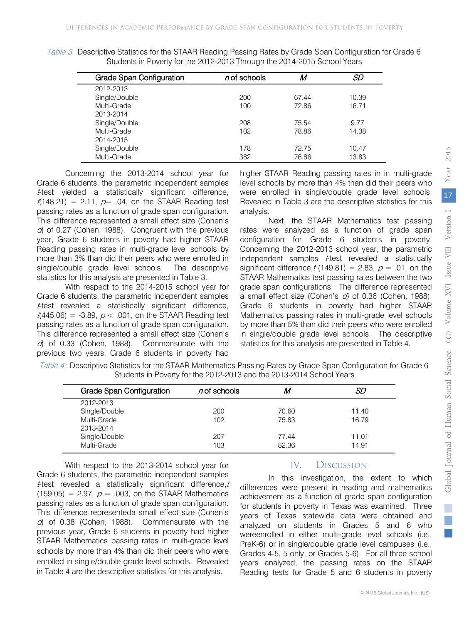|  | Table 3: Descriptive Statistics for the STAAR Reading Passing Rates by Grade Span Configuration for Grade 6 |  |  |  |  |
|--|-------------------------------------------------------------------------------------------------------------|--|--|--|--|
|  | Students in Poverty for the 2012-2013 Through the 2014-2015 School Years                                    |  |  |  |  |

| <b>Grade Span Configuration</b> | $n$ of schools | M     | SD    |
|---------------------------------|----------------|-------|-------|
| 2012-2013                       |                |       |       |
| Single/Double                   | 200            | 67.44 | 10.39 |
| Multi-Grade                     | 100            | 72.86 | 16.71 |
| 2013-2014                       |                |       |       |
| Single/Double                   | 208            | 75.54 | 9.77  |
| Multi-Grade                     | 102            | 78.86 | 14.38 |
| 2014-2015                       |                |       |       |
| Single/Double                   | 178            | 72.75 | 10.47 |
| Multi-Grade                     | 382            | 76.86 | 13.83 |

Concerning the 2013-2014 school year for Grade 6 students, the parametric independent samples <sup>t</sup>-test yielded a statistically significant difference,  $t(148.21) = 2.11$ ,  $p= .04$ , on the STAAR Reading test passing rates as a function of grade span configuration. This difference represented a small effect size (Cohen's  $d$ ) of 0.27 (Cohen, 1988). Congruent with the previous year, Grade 6 students in poverty had higher STAAR Reading passing rates in multi-grade level schools by more than 3% than did their peers who were enrolled in single/double grade level schools. The descriptive statistics for this analysis are presented in Table 3.

With respect to the 2014-2015 school year for Grade 6 students, the parametric independent samples <sup>t</sup>-test revealed a statistically significant difference,  $t(445.06) = -3.89$ ,  $p < .001$ , on the STAAR Reading test passing rates as a function of grade span configuration. This difference represented a small effect size (Cohen's  $d$  of 0.33 (Cohen, 1988). Commensurate with the previous two years, Grade 6 students in poverty had higher STAAR Reading passing rates in in multi-grade level schools by more than 4% than did their peers who were enrolled in single/double grade level schools. Revealed in Table 3 are the descriptive statistics for this analysis.

Next, the STAAR Mathematics test passing rates were analyzed as a function of grade span configuration for Grade 6 students in poverty. Concerning the 2012-2013 school year, the parametric independent samples t-test revealed a statistically significant difference,  $t(149.81) = 2.83$ ,  $p = .01$ , on the STAAR Mathematics test passing rates between the two grade span configurations. The difference represented a small effect size (Cohen's d) of 0.36 (Cohen, 1988). Grade 6 students in poverty had higher STAAR Mathematics passing rates in multi-grade level schools by more than 5% than did their peers who were enrolled in single/double grade level schools. The descriptive statistics for this analysis are presented in Table 4.

| Table 4: Descriptive Statistics for the STAAR Mathematics Passing Rates by Grade Span Configuration for Grade 6 |  |
|-----------------------------------------------------------------------------------------------------------------|--|
| Students in Poverty for the 2012-2013 and the 2013-2014 School Years                                            |  |
|                                                                                                                 |  |

| <b>Grade Span Configuration</b> | $n$ of schools  | M     | SD    |
|---------------------------------|-----------------|-------|-------|
| 2012-2013                       |                 |       |       |
| Single/Double                   | 200             | 70.60 | 11.40 |
| Multi-Grade                     | 10 <sub>2</sub> | 75.83 | 16.79 |
| 2013-2014                       |                 |       |       |
| Single/Double                   | 207             | 77.44 | 11.01 |
| Multi-Grade                     | 103             | 82.36 | 14.91 |

With respect to the 2013-2014 school year for Grade 6 students, the parametric independent samples  $t$ -test revealed a statistically significant difference,  $t$ (159.05) = 2.97,  $p = 0.003$ , on the STAAR Mathematics passing rates as a function of grade span configuration. This difference representeda small effect size (Cohen's  $d$  of 0.38 (Cohen, 1988). Commensurate with the previous year, Grade 6 students in poverty had higher STAAR Mathematics passing rates in multi-grade level schools by more than 4% than did their peers who were enrolled in single/double grade level schools. Revealed in Table 4 are the descriptive statistics for this analysis.

# IV. Discussion

In this investigation, the extent to which differences were present in reading and mathematics achievement as a function of grade span configuration for students in poverty in Texas was examined. Three years of Texas statewide data were obtained and analyzed on students in Grades 5 and 6 who wereenrolled in either multi-grade level schools (i.e., PreK-6) or in single/double grade level campuses (i.e., Grades 4-5, 5 only, or Grades 5-6). For all three school years analyzed, the passing rates on the STAAR Reading tests for Grade 5 and 6 students in poverty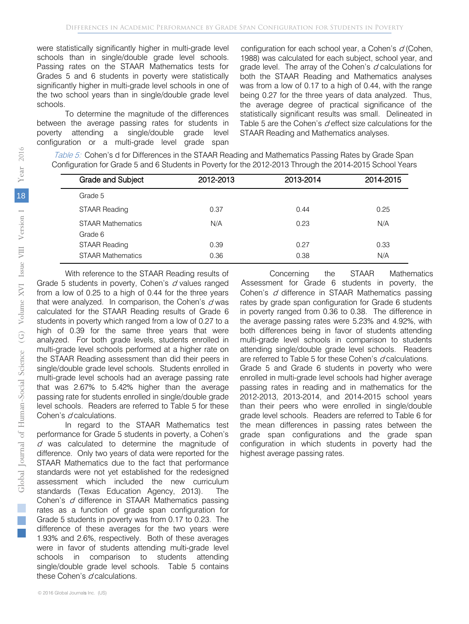significantly higher in multi-grade level schools in one of the two school years than in single/double grade level schools. Passing rates on the STAAR Mathematics tests for Grades 5 and 6 students in poverty were statistically schools than in single/double grade level schools.

To determine the magnitude of the differences between the average passing rates for students in poverty attending a single/double grade level configuration or a multi-grade level grade span

1988) was calculated for each subject, school year, and grade level. The array of the Cohen's  $d$  calculations for both the STAAR Reading and Mathematics analyses was from a low of 0.17 to a high of 0.44, with the range being 0.27 for the three years of data analyzed. Thus, the average degree of practical significance of the statistically significant results was small. Delineated in Table 5 are the Cohen's  $d$  effect size calculations for the STAAR Reading and Mathematics analyses. were statistically significantly higher in multi-grade level configuration for each school year, a Cohen's  $d$  (Cohen,

| Table 5: Cohen's d for Differences in the STAAR Reading and Mathematics Passing Rates by Grade Span      |
|----------------------------------------------------------------------------------------------------------|
| Configuration for Grade 5 and 6 Students in Poverty for the 2012-2013 Through the 2014-2015 School Years |

| Grade and Subject                   | 2012-2013 | 2013-2014 | 2014-2015 |
|-------------------------------------|-----------|-----------|-----------|
| Grade 5                             |           |           |           |
| <b>STAAR Reading</b>                | 0.37      | 0.44      | 0.25      |
| <b>STAAR Mathematics</b><br>Grade 6 | N/A       | 0.23      | N/A       |
| <b>STAAR Reading</b>                | 0.39      | 0.27      | 0.33      |
| <b>STAAR Mathematics</b>            | 0.36      | 0.38      | N/A       |

With reference to the STAAR Reading results of Grade 5 students in poverty, Cohen's d values ranged from a low of 0.25 to a high of 0.44 for the three years that were analyzed. In comparison, the Cohen's  $d$  was calculated for the STAAR Reading results of Grade 6 students in poverty which ranged from a low of 0.27 to a high of 0.39 for the same three years that were analyzed. For both grade levels, students enrolled in multi-grade level schools performed at a higher rate on the STAAR Reading assessment than did their peers in single/double grade level schools. Students enrolled in multi-grade level schools had an average passing rate that was 2.67% to 5.42% higher than the average passing rate for students enrolled in single/double grade level schools. Readers are referred to Table 5 for these Cohen's d calculations.

In regard to the STAAR Mathematics test performance for Grade 5 students in poverty, a Cohen's  $d$  was calculated to determine the magnitude of difference. Only two years of data were reported for the STAAR Mathematics due to the fact that performance standards were not yet established for the redesigned assessment which included the new curriculum standards (Texas Education Agency, 2013). The Cohen's d difference in STAAR Mathematics passing rates as a function of grade span configuration for Grade 5 students in poverty was from 0.17 to 0.23. The difference of these averages for the two years were 1.93% and 2.6%, respectively. Both of these averages were in favor of students attending multi-grade level schools in comparison to students attending single/double grade level schools. Table 5 contains these Cohen's  $d$  calculations.

Concerning the STAAR Mathematics Assessment for Grade 6 students in poverty, the Cohen's  $d$  difference in STAAR Mathematics passing rates by grade span configuration for Grade 6 students in poverty ranged from 0.36 to 0.38. The difference in the average passing rates were 5.23% and 4.92%, with both differences being in favor of students attending multi-grade level schools in comparison to students attending single/double grade level schools. Readers are referred to Table 5 for these Cohen's d calculations. Grade 5 and Grade 6 students in poverty who were enrolled in multi-grade level schools had higher average passing rates in reading and in mathematics for the 2012-2013, 2013-2014, and 2014-2015 school years than their peers who were enrolled in single/double grade level schools. Readers are referred to Table 6 for the mean differences in passing rates between the grade span configurations and the grade span configuration in which students in poverty had the highest average passing rates.

 $\mathbb{R}^3$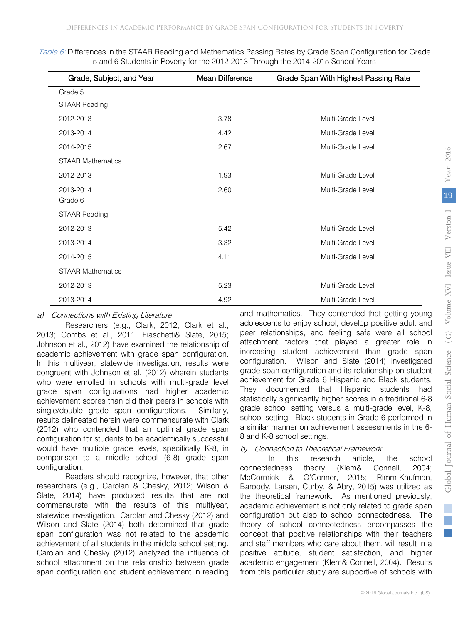| Grade, Subject, and Year | Mean Difference | Grade Span With Highest Passing Rate |
|--------------------------|-----------------|--------------------------------------|
| Grade 5                  |                 |                                      |
| <b>STAAR Reading</b>     |                 |                                      |
| 2012-2013                | 3.78            | Multi-Grade Level                    |
| 2013-2014                | 4.42            | Multi-Grade Level                    |
| 2014-2015                | 2.67            | Multi-Grade Level                    |
| <b>STAAR Mathematics</b> |                 |                                      |
| 2012-2013                | 1.93            | Multi-Grade Level                    |
| 2013-2014                | 2.60            | Multi-Grade Level                    |
| Grade 6                  |                 |                                      |
| <b>STAAR Reading</b>     |                 |                                      |
| 2012-2013                | 5.42            | Multi-Grade Level                    |
| 2013-2014                | 3.32            | Multi-Grade Level                    |
| 2014-2015                | 4.11            | Multi-Grade Level                    |
| <b>STAAR Mathematics</b> |                 |                                      |
| 2012-2013                | 5.23            | Multi-Grade Level                    |
| 2013-2014                | 4.92            | Multi-Grade Level                    |

Table 6: Differences in the STAAR Reading and Mathematics Passing Rates by Grade Span Configuration for Grade 5 and 6 Students in Poverty for the 2012-2013 Through the 2014-2015 School Years

## a) Connections with Existing Literature

Researchers (e.g., Clark, 2012; Clark et al., 2013; Combs et al., 2011; Fiaschetti& Slate, 2015; Johnson et al., 2012) have examined the relationship of academic achievement with grade span configuration. In this multiyear, statewide investigation, results were congruent with Johnson et al. (2012) wherein students who were enrolled in schools with multi-grade level grade span configurations had higher academic achievement scores than did their peers in schools with single/double grade span configurations. Similarly, results delineated herein were commensurate with Clark (2012) who contended that an optimal grade span configuration for students to be academically successful would have multiple grade levels, specifically K-8, in comparison to a middle school (6-8) grade span configuration.

Readers should recognize, however, that other researchers (e.g., Carolan & Chesky, 2012; Wilson & Slate, 2014) have produced results that are not commensurate with the results of this multiyear, statewide investigation. Carolan and Chesky (2012) and Wilson and Slate (2014) both determined that grade span configuration was not related to the academic achievement of all students in the middle school setting. Carolan and Chesky (2012) analyzed the influence of school attachment on the relationship between grade span configuration and student achievement in reading and mathematics. They contended that getting young adolescents to enjoy school, develop positive adult and peer relationships, and feeling safe were all school attachment factors that played a greater role in increasing student achievement than grade span configuration. Wilson and Slate (2014) investigated grade span configuration and its relationship on student achievement for Grade 6 Hispanic and Black students. They documented that Hispanic students had statistically significantly higher scores in a traditional 6-8 grade school setting versus a multi-grade level, K-8, school setting. Black students in Grade 6 performed in a similar manner on achievement assessments in the 6- 8 and K-8 school settings.

## b) Connection to Theoretical Framework

In this research article, the school connectedness theory (Klem& Connell, 2004; McCormick & O'Conner, 2015; Rimm-Kaufman, Baroody, Larsen, Curby, & Abry, 2015) was utilized as the theoretical framework. As mentioned previously, academic achievement is not only related to grade span configuration but also to school connectedness. The theory of school connectedness encompasses the concept that positive relationships with their teachers and staff members who care about them, will result in a positive attitude, student satisfaction, and higher academic engagement (Klem& Connell, 2004). Results from this particular study are supportive of schools with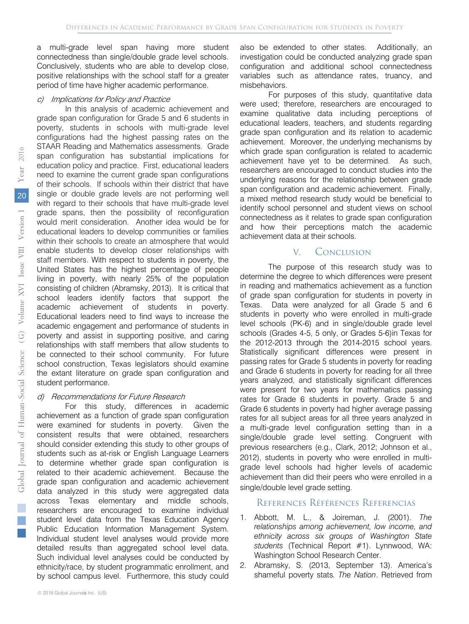a multi-grade level span having more student connectedness than single/double grade level schools. Conclusively, students who are able to develop close, positive relationships with the school staff for a greater period of time have higher academic performance.

#### c) Implications for Policy and Practice

In this analysis of academic achievement and grade span configuration for Grade 5 and 6 students in poverty, students in schools with multi-grade level configurations had the highest passing rates on the STAAR Reading and Mathematics assessments. Grade span configuration has substantial implications for education policy and practice. First, educational leaders need to examine the current grade span configurations of their schools. If schools within their district that have single or double grade levels are not performing well with regard to their schools that have multi-grade level grade spans, then the possibility of reconfiguration would merit consideration. Another idea would be for educational leaders to develop communities or families within their schools to create an atmosphere that would enable students to develop closer relationships with staff members. With respect to students in poverty, the United States has the highest percentage of people living in poverty, with nearly 25% of the population consisting of children (Abramsky, 2013). It is critical that school leaders identify factors that support the academic achievement of students in poverty. Educational leaders need to find ways to increase the academic engagement and performance of students in poverty and assist in supporting positive, and caring relationships with staff members that allow students to be connected to their school community. For future school construction, Texas legislators should examine the extant literature on grade span configuration and student performance.

#### d) Recommendations for Future Research

For this study, differences in academic achievement as a function of grade span configuration were examined for students in poverty. Given the consistent results that were obtained, researchers should consider extending this study to other groups of students such as at-risk or English Language Learners to determine whether grade span configuration is related to their academic achievement. Because the grade span configuration and academic achievement data analyzed in this study were aggregated data across Texas elementary and middle schools, researchers are encouraged to examine individual student level data from the Texas Education Agency Public Education Information Management System. Individual student level analyses would provide more detailed results than aggregated school level data. Such individual level analyses could be conducted by ethnicity/race, by student programmatic enrollment, and by school campus level. Furthermore, this study could

For purposes of this study, quantitative data were used; therefore, researchers are encouraged to examine qualitative data including perceptions of educational leaders, teachers, and students regarding grade span configuration and its relation to academic achievement. Moreover, the underlying mechanisms by which grade span configuration is related to academic achievement have yet to be determined. As such, researchers are encouraged to conduct studies into the underlying reasons for the relationship between grade span configuration and academic achievement. Finally, a mixed method research study would be beneficial to identify school personnel and student views on school connectedness as it relates to grade span configuration and how their perceptions match the academic achievement data at their schools.

#### V. Conclusion

The purpose of this research study was to determine the degree to which differences were present in reading and mathematics achievement as a function of grade span configuration for students in poverty in Texas. Data were analyzed for all Grade 5 and 6 students in poverty who were enrolled in multi-grade level schools (PK-6) and in single/double grade level schools (Grades 4-5, 5 only, or Grades 5-6)in Texas for the 2012-2013 through the 2014-2015 school years. Statistically significant differences were present in passing rates for Grade 5 students in poverty for reading and Grade 6 students in poverty for reading for all three years analyzed, and statistically significant differences were present for two years for mathematics passing rates for Grade 6 students in poverty. Grade 5 and Grade 6 students in poverty had higher average passing rates for all subject areas for all three years analyzed in a multi-grade level configuration setting than in a single/double grade level setting. Congruent with previous researchers (e.g., Clark, 2012; Johnson et al., 2012), students in poverty who were enrolled in multigrade level schools had higher levels of academic achievement than did their peers who were enrolled in a single/double level grade setting.

#### References Références Referencias

- 1. Abbott, M. L., & Joireman, J. (2001). *The relationships among achievement, low income, and ethnicity across six groups of Washington State students* (Technical Report #1). Lynnwood, WA: Washington School Research Center.
- 2. Abramsky, S. (2013, September 13). America's shameful poverty stats*. The Nation*. Retrieved from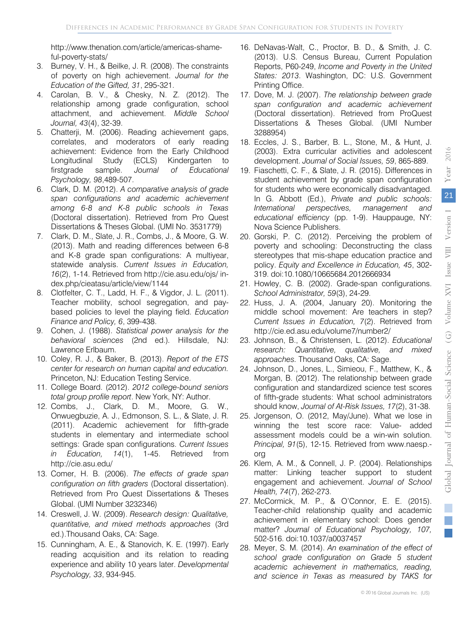http://www.thenation.com/article/americas-shameful-poverty-stats/

- 3. Burney, V. H., & Beilke, J. R. (2008). The constraints of poverty on high achievement. *Journal for the Education of the Gifted, 31*, 295-321.
- 4. Carolan, B. V., & Chesky, N. Z. (2012). The relationship among grade configuration, school attachment, and achievement. *Middle School Journal, 43*(4), 32-39.
- 5. Chatterji, M. (2006). Reading achievement gaps, correlates, and moderators of early reading achievement: Evidence from the Early Childhood Longitudinal Study (ECLS) Kindergarten to firstgrade sample. *Journal of Educational Psychology, 98*,489-507.
- 6. Clark, D. M. (2012). *A comparative analysis of grade span configurations and academic achievement among 6-8 and K-8 public schools in Texas*  (Doctoral dissertation). Retrieved from Pro Quest Dissertations & Theses Global. (UMI No. 3531779)
- 7. Clark, D. M., Slate, J. R., Combs, J., & Moore, G. W. (2013). Math and reading differences between 6-8 and K-8 grade span configurations: A multiyear, statewide analysis. *Current Issues in Education, 16*(2), 1-14. Retrieved from http://cie.asu.edu/ojs/ index.php/cieatasu/article/view/1144
- 8. Clotfelter, C. T., Ladd, H. F., & Vigdor, J. L. (2011). Teacher mobility, school segregation, and paybased policies to level the playing field. *Education Finance and Policy, 6*, 399-438.
- 9. Cohen, J. (1988). *Statistical power analysis for the behavioral sciences* (2nd ed.)*.* Hillsdale, NJ: Lawrence Erlbaum.
- 10. Coley, R. J., & Baker, B. (2013). *Report of the ETS center for research on human capital and education.*  Princeton, NJ: Education Testing Service.
- 11. College Board. (2012). *2012 college-bound seniors total group profile report*. New York, NY: Author.
- 12. Combs, J., Clark, D. M., Moore, G. W., Onwuegbuzie, A. J., Edmonson, S. L., & Slate, J. R. (2011). Academic achievement for fifth-grade students in elementary and intermediate school settings: Grade span configurations. *Current Issues in Education, 14*(1), 1-45. Retrieved from http://cie.asu.edu/
- 13. Comer, H. B. (2006). *The effects of grade span configuration on fifth graders* (Doctoral dissertation). Retrieved from Pro Quest Dissertations & Theses Global. (UMI Number 3232346)
- 14. Creswell, J. W. (2009). *Research design: Qualitative, quantitative, and mixed methods approaches* (3rd ed.).Thousand Oaks, CA: Sage.
- 15. Cunningham, A. E., & Stanovich, K. E. (1997). Early reading acquisition and its relation to reading experience and ability 10 years later. *Developmental Psychology, 33*, 934-945.
- 16. DeNavas-Walt, C., Proctor, B. D., & Smith, J. C. (2013). U.S. Census Bureau, Current Population Reports, P60-249, *Income and Poverty in the United States: 2013*. Washington, DC: U.S. Government Printing Office.
- 17. Dove, M. J. (2007). *The relationship between grade span configuration and academic achievement*  (Doctoral dissertation). Retrieved from ProQuest Dissertations & Theses Global. (UMI Number 3288954)
- 18. Eccles, J. S., Barber, B. L., Stone, M., & Hunt, J. (2003). Extra curricular activities and adolescent development. *Journal of Social Issues, 59*, 865-889.
- 19. Fiaschetti, C. F., & Slate, J. R. (2015). Differences in student achievement by grade span configuration for students who were economically disadvantaged. In G. Abbott (Ed.), *Private and public schools: International perspectives, management and educational efficiency* (pp. 1-9). Hauppauge, NY: Nova Science Publishers.
- 20. Gorski, P. C. (2012). Perceiving the problem of poverty and schooling: Deconstructing the class stereotypes that mis-shape education practice and policy. *Equity and Excellence in Education, 45*, 302- 319. doi:10.1080/10665684.2012666934
- 21. Howley, C. B. (2002). Grade-span configurations. *School Administrator, 59*(3), 24-29.
- 22. Huss, J. A. (2004, January 20). Monitoring the middle school movement: Are teachers in step? *Current Issues in Education, 7*(2). Retrieved from http://cie.ed.asu.edu/volume7/number2/
- 23. Johnson, B., & Christensen, L. (2012). *Educational research: Quantitative, qualitative, and mixed approaches.* Thousand Oaks, CA: Sage.
- 24. Johnson, D., Jones, L., Simieou, F., Matthew, K., & Morgan, B. (2012). The relationship between grade configuration and standardized science test scores of fifth-grade students: What school administrators should know, *Journal of At-Risk Issues, 17*(2), 31-38.
- 25. Jorgenson, O. (2012, May/June). What we lose in winning the test score race: Value- added assessment models could be a win-win solution. *Principal, 91*(5), 12-15. Retrieved from www.naesp. org
- 26. Klem, A. M., & Connell, J. P. (2004). Relationships matter: Linking teacher support to student engagement and achievement. *Journal of School Health, 74*(7), 262-273.
- 27. McCormick, M. P., & O'Connor, E. E. (2015). Teacher-child relationship quality and academic achievement in elementary school: Does gender matter? *Journal of Educational Psychology, 107,*  502-516. doi:10.1037/a0037457
- 28. Meyer, S. M. (2014). *An examination of the effect of school grade configuration on Grade 5 student academic achievement in mathematics, reading, and science in Texas as measured by TAKS for*